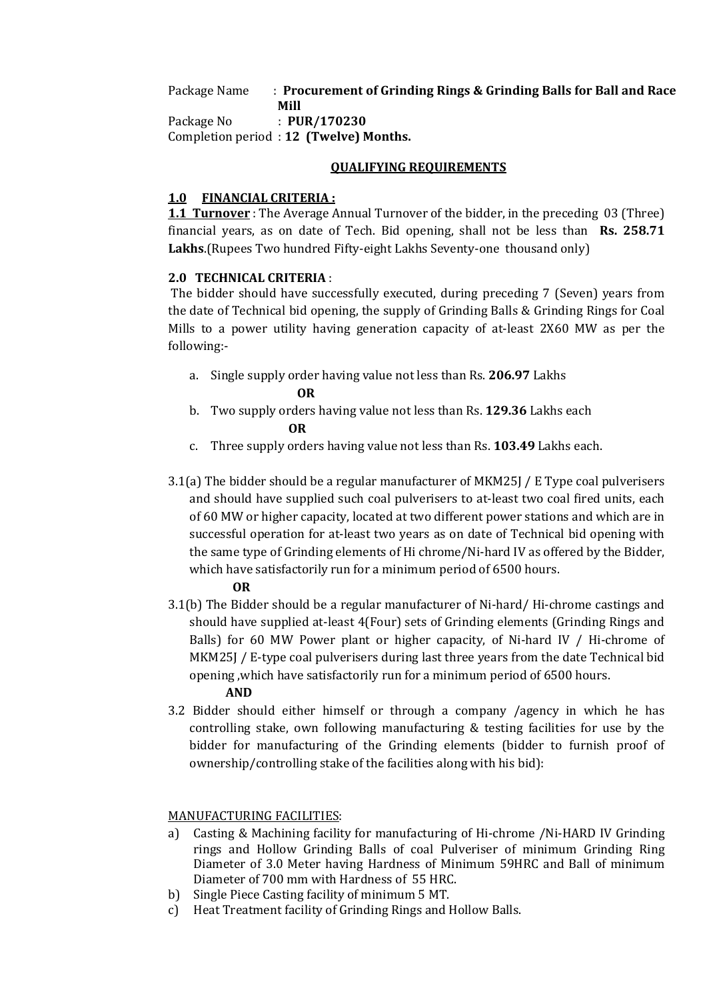Package Name : **Procurement of Grinding Rings & Grinding Balls for Ball and Race Mill** Package No : **PUR/170230**

Completion period : **12 (Twelve) Months.**

### **QUALIFYING REQUIREMENTS**

### **1.0 FINANCIAL CRITERIA :**

**1.1 Turnover** : The Average Annual Turnover of the bidder, in the preceding 03 (Three) financial years, as on date of Tech. Bid opening, shall not be less than **Rs. 258.71 Lakhs**.(Rupees Two hundred Fifty-eight Lakhs Seventy-one thousand only)

### **2.0 TECHNICAL CRITERIA** :

The bidder should have successfully executed, during preceding 7 (Seven) years from the date of Technical bid opening, the supply of Grinding Balls & Grinding Rings for Coal Mills to a power utility having generation capacity of at-least 2X60 MW as per the following:-

- a. Single supply order having value not less than Rs. **206.97** Lakhs  **OR**
- b. Two supply orders having value not less than Rs. **129.36** Lakhs each  **OR**
- c. Three supply orders having value not less than Rs. **103.49** Lakhs each.
- 3.1(a) The bidder should be a regular manufacturer of MKM25J / E Type coal pulverisers and should have supplied such coal pulverisers to at-least two coal fired units, each of 60 MW or higher capacity, located at two different power stations and which are in successful operation for at-least two years as on date of Technical bid opening with the same type of Grinding elements of Hi chrome/Ni-hard IV as offered by the Bidder, which have satisfactorily run for a minimum period of 6500 hours.

#### **OR**

3.1(b) The Bidder should be a regular manufacturer of Ni-hard/ Hi-chrome castings and should have supplied at-least 4(Four) sets of Grinding elements (Grinding Rings and Balls) for 60 MW Power plant or higher capacity, of Ni-hard IV / Hi-chrome of MKM25J / E-type coal pulverisers during last three years from the date Technical bid opening ,which have satisfactorily run for a minimum period of 6500 hours.

#### **AND**

3.2 Bidder should either himself or through a company /agency in which he has controlling stake, own following manufacturing & testing facilities for use by the bidder for manufacturing of the Grinding elements (bidder to furnish proof of ownership/controlling stake of the facilities along with his bid):

## <u>MANUFACTURING FACILITIES</u>:

- a) Casting & Machining facility for manufacturing of Hi-chrome /Ni-HARD IV Grinding rings and Hollow Grinding Balls of coal Pulveriser of minimum Grinding Ring Diameter of 3.0 Meter having Hardness of Minimum 59HRC and Ball of minimum Diameter of 700 mm with Hardness of 55 HRC.
- 
- b) Single Piece Casting facility of minimum 5 MT.<br>c) Heat Treatment facility of Grinding Rings and I Heat Treatment facility of Grinding Rings and Hollow Balls.